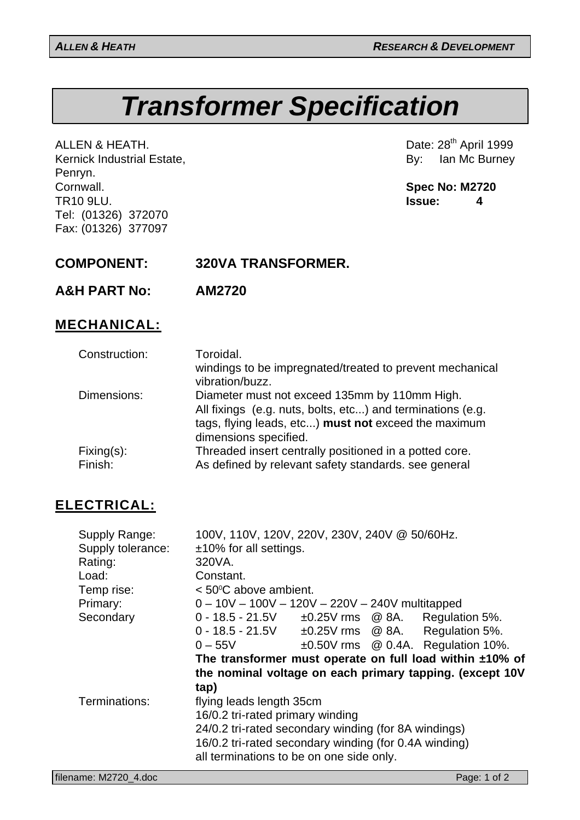# *Transformer Specification*

ALLEN & HEATH.<br>
Kernick Industrial Estate, Campioneer (Date: 28<sup>th</sup> April 1999)<br>
By: Ian Mc Burney Kernick Industrial Estate, Penryn. Cornwall. **Spec No: M2720** TR10 9LU. **Issue: 4** Tel: (01326) 372070 Fax: (01326) 377097

**A&H PART No: AM2720**

## **MECHANICAL:**

| Construction:            | Toroidal.<br>windings to be impregnated/treated to prevent mechanical<br>vibration/buzz.                                                                                                     |
|--------------------------|----------------------------------------------------------------------------------------------------------------------------------------------------------------------------------------------|
| Dimensions:              | Diameter must not exceed 135mm by 110mm High.<br>All fixings (e.g. nuts, bolts, etc) and terminations (e.g.<br>tags, flying leads, etc) must not exceed the maximum<br>dimensions specified. |
| $Fixing(s)$ :<br>Finish: | Threaded insert centrally positioned in a potted core.<br>As defined by relevant safety standards. see general                                                                               |

# **ELECTRICAL:**

| Supply Range:<br>Supply tolerance:<br>Rating:<br>Load: | 100V, 110V, 120V, 220V, 230V, 240V @ 50/60Hz.<br>$±10\%$ for all settings.<br>320VA.<br>Constant. |  |  |                                          |  |
|--------------------------------------------------------|---------------------------------------------------------------------------------------------------|--|--|------------------------------------------|--|
| Temp rise:                                             | $<$ 50 $\degree$ C above ambient.                                                                 |  |  |                                          |  |
| Primary:                                               | $0 - 10V - 100V - 120V - 220V - 240V$ multitapped                                                 |  |  |                                          |  |
| Secondary                                              | $0 - 18.5 - 21.5V$ $\pm 0.25V$ rms @ 8A. Regulation 5%.                                           |  |  |                                          |  |
|                                                        | $0$ - 18.5 - 21.5V                                                                                |  |  | $\pm 0.25$ V rms @ 8A. Regulation 5%.    |  |
|                                                        | $0 - 55V$                                                                                         |  |  | $\pm 0.50$ V rms @ 0.4A. Regulation 10%. |  |
|                                                        | The transformer must operate on full load within $±10\%$ of                                       |  |  |                                          |  |
|                                                        | the nominal voltage on each primary tapping. (except 10V                                          |  |  |                                          |  |
|                                                        | tap)                                                                                              |  |  |                                          |  |
| Terminations:                                          | flying leads length 35cm                                                                          |  |  |                                          |  |
|                                                        | 16/0.2 tri-rated primary winding                                                                  |  |  |                                          |  |
|                                                        | 24/0.2 tri-rated secondary winding (for 8A windings)                                              |  |  |                                          |  |
|                                                        | 16/0.2 tri-rated secondary winding (for 0.4A winding)                                             |  |  |                                          |  |
|                                                        | all terminations to be on one side only.                                                          |  |  |                                          |  |